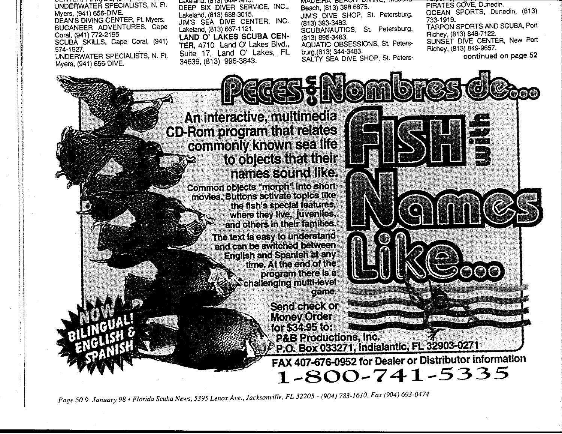UNDERWATER SPECIALISTS, N. Ft. --------Myers. (941) 656-DIVE. DEAN'S DIVING CENTER, Ft. Myers. BUCANEER ADVENTURES, Cape Coral, (941) 772-2195 SCUBA SKILLS, Cape Coral, (941) 574-1927. UNDERWATER SPECIALISTS. N. Ft. Myers, (941) 656-DIVE.

Laxeland, (013) <del>044</del> 14 TV. DEEP SIX DIVER SERVICE. INC.. Lakeland, (813) 688-3015. JIM'S SEA DIVE CENTER, INC. Lakeland, (813) 667-1121. LAND O' LAKES SCUBA CEN-TER, 4710 Land O' Lakes Blvd., Suite 17, Land O' Lakes, FL 34639, (813) 996-3843.

MAUEINA DEAVIL PIIRTU, Beach, (813) 398 6875. JIM'S DIVE SHOP, St. Petersburg. (813) 393-3483. SCUBANAUTICS, St. Petersburg, (813) 895-3483. AQUATIC OBSESSIONS, St. Petersburg.(813) 344-3483. SALTY SEA DIVE SHOP, St. PetersPIRATES COVE, Dunedin. OCEAN SPORTS, Dunedin, (813) 733-1919. TARPON SPORTS AND SCUBA, Port Richey, (813) 848-7122. SUNSET DIVE CENTER, New Port Richey, (813) 849-9657. continued on page 52



Page 50 \ January 98 • Florida Scuba News, 5395 Lenox Ave., Jacksonville, FL 32205 - (904) 783-1610, Fax (904) 693-0474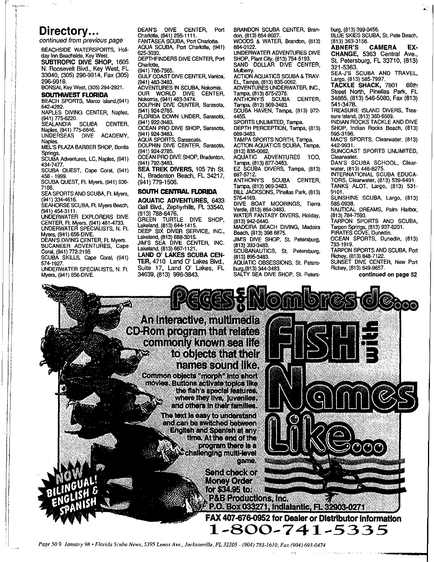## **Directory...**

de anticipations.<br>Notes I; .\ !

continued from previous page

BEACHSIDE WATERSPORTS, Holiday Inn Beachside, Key West.

**SUBTROPIC DIVE SHOP,** 1605 N. Roosevelt Blvd., Key West, FL 33040, (305) 296-9914, Fax (305) 296-991B.

BONSAI, KeyWest, (305) 294-2921.

**SOUTHWEST FLORIDA**

BEACH SPORTS, Marco Island,(941) 642-4282.

NAPLES DIVING CENTER, Naples, (941) 775-6220.

SEALANDIA SCUBA CENTER, Naples, (941) 775-6646.

UNDERSEAS DIVE ACADEMY, **Naples.**

MEL'S PLAZA BARBER SHOP, Bonita Springs.

SCUBA Adventures, LC, Naples, (941) 434-7477.

SCUBA QUEST, Cape Coral, (941) 458-1999.

SCUBA QUEST, Ft. Myers, (941) 936- 7106.

SEASPORTSAND SCUBA, Ft.Myers, (941) 334-4616.

SEAHORSE SCUBA, Ft. Myers Beach, (941) 454-3111.

UNDERWATER EXPLORERS DIVE CENTER, Ft.Myers, (941) 481-4733. UNDERWATER SPECIALISTS, N. Ft. Myers, (941) 658-DIVE.

DEAN'S DIVING CENTER, Ft. Myers. BUCANEER ADVENTURES, Cape

Coral, (941) 772-2195 SCUBA SKILLS, cape Coral, (941) 574-1927.

UNDERWATER SPECIALISTS, N. Ft. Myers, (941) 656-DIVE.

DEAN'S DIVE CENTER, Port Charlotte, (941) 255-1111.

FANTASEA SCUBA, Port Charlotte. AQUA SCUBA, Port Charlotte, (941) 625-3030.

DEPTHFINDERS DIVE CENTER, Port **Charlotte,**

(941) 766-7585.

GULF COAST DIVE CENTER, Venice, (941) 483-3483.

ÀDVENTURES IN SCUBA, Nokomis.<br>OUR WORLD DIVE CENTER, OUR WORLD DIVE CENTER,

Nokomis, (941) 483-3474. DOLPHIN DIVE CENTER, Sarasota, (941) 924-2785.

FLORIDA DOWN UNDER, Sarasota, (941) 922-3483.

OCEAN PRO DIVE SHOP, Sarasota, (941) 924-3483.

AQUA SPORTS, Sarasoata.

DOLPHIN DIVE CENTER, Sarasota,

(941) 924-2785. OCEAN PRO DIVE SHOP, Bradenton,

(941) 792-3483.

**SEATREK DIVERS,** 105 7th SI. N., Bradenton Beach, FL 34217, (941) 779-1506.

#### **SOUTH CENmAL FLORIDA**

**AQUATIC ADVENTURES,** 6433 Gall Blvd., zephyrhills, FL 33540, (813) 788-6476, GREEN TURTLE DIVE SHOP,

Lakeland, (813) 644-1415. DEEP SIX DIVER SERVICE, INC., Lakeland, (813) 688-3015, JIM'S SEA DtVE CENTER, INC.

Lakeland, (813) 667-1121. **LAND 0' LAKES SCUBA CEN·**

**TER,** 4710 Land 0' Lakes Blvd., Suite 17, Land 0' Lakes, FL 34639, (813) 996-3843,

BRANDON SCUBA CENTER, Brandon. (813) 654-8027. WOODS & WATER, Brandon, (813) 684-0122. UNDERWATER ADVENTURES DIVE

SHOP, Plant City, (813) 754-5193, SAND DOLLAR DIVE CENTER, **Mulberry** ACTION AQUATICS SCUBA &TRAV-

EL, Tampa, (813) 835-0062. ADVENTURES UNDERWATER, INC., Tampe. (813) 875-2376. ANTHONY'S SCUBA CENTER, Tampe, (813) 969-3483. SCUBA HAVEN, Tampa, (813) 972- 4455. SPORTS UNLIMITED, Tampa.

DEPTH PERCEPTION, Tampa, (813) 689-3483.

TAMPA SPORTS NORTH, Tampa. ACTION AQUATICS SCUBA, Tampa, (813) 835-0062, ADVENTURES TOO,

Tampa, (813) 877-3483, EZ SCUBA DIVERS, Tampa, (813) 887-5712.<br>ANTHONY'S

ANTHONY'S SCUBA CENTER, Tampa, (813) 969-3483.

BILL JACKSONS, Pinellas Park, (813) 576-4169.

DIVE BOAT MOORINGS, Tierra Verde, (813) 864-3483. WATER FANTASY DIVERS, Holiday,

(813) 942-0440. MADEIRA BEACH DIVING, Madeira

Beach, (813) 398 6875. JIM'S DIVE SHOP, St. Petersburg,

(813) 393-3483. SCUBANAUTICS, St. Petersburg,

(813) 895-3483. AQUATIC OBSESSIONS, St. Peters-

burg,(813) 344-3483. SALTY SEA DIVE SHOP, St. Peters-

burg, (813) 399-0456. BLUE SKIES SCUBA, St.Pete Beach, (813) 363-3156.<br>**ABNER'S ABNER'S CAMERA EX·** CHANGE, 5363 Central Ave., SI. Petersburg, FL 33710, (813) 321·5363, SEA-J'S SCUBA AND TRAVEL, Largo, (813) 585-7997. **TACKLE SHACK,** 7801 66th Street North, Pinellas Park, FL 34665, (813) 546-5080, Fax (813) 541-3478. TREASURE ISLAND DIVERS, Treasure Island, (813) 360-6669. INDIAN ROCKS TACKLE AND DIVE SHOP, Indian Rocks Beach, (813) 595-3196. MAC'S SPORTS, Clearwater, (813) 442-9931. SUNCOAST SPORTS UNLIMITED, **Clearwater.** DAN'S SCUBA SCHOOL, Clearwater, (813)446-8275. INTERNATIONAL SCUBA EDUCA-TORS, Clearwater, (813) 539-6491. TANKS ALOT, Largo, (813) 531-9101. SUNSHINE SCUBA, Largo, (813) 585-0938. NAUTICAL DREAMS, Palm Harbor, (813) 784-7593. TARPON SPORTS AND SCUBA, Tarpon Springs, (813) 937-8201. PIRATES COVE, Dunedin. OCEAN SPORTS, Dunedin, (813) 733-1919. TARPON SPORTS AND SCUBA, Port Richey, (813) 848-7122. SUNSET DIVE CENTER, New Port Richey, (813) 849-9657.

continued on page 52



Page 50 0 January 98 • Florida Scuba News, 5395 Lenox Ave., Jacksonville, FL 32205 - (904) 783-1610, Fax (904) 693-0474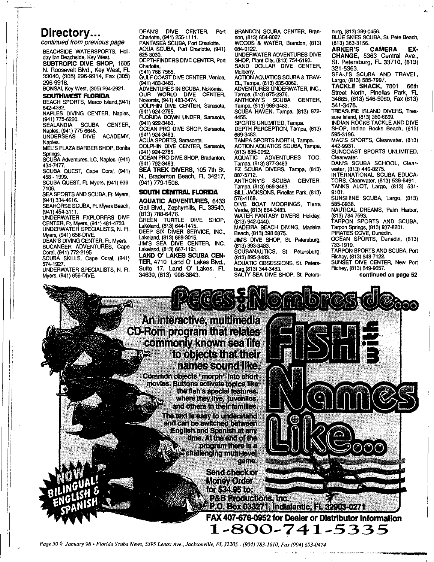## Directory...

,-- I

I

. I, i I

internationalistication<br>Internationalistication

continued from previous page

BEACHSIDE WATERSPORTS, Hollday Inn Beachside, Key West.

SUBTROPIC DIVE SHOP, 1605 N. Roosevett Blvd., Key West, FL 33040, (305) 296·9914, Fax (305) 296-9918.

BONSAI, Key West, (305) 294-2921.

#### SOUTHWEST FLORIDA BEACH SPORTS, Marco Island, (941)

642-4282. NAPLES DIVING CENTER, Naples,

(941) 775·6220, SEALANDIA SCUBA CENTER,

Naples, (941) 775-6646. UNDERSEAS DIVE ACADEMY, **Naples** 

MEL'S PLAZA BARBER SHOP, Bonita Springs.

SCUBA Adventures, LC, Naples, (941) 434-7477.

SCUBA QUEST, Cape Coral, (941) 458-1999,

SCUBA QUEST, Ft.Myers, (941) 936- *7106,*

SEASPORTS AND SCUBA, Ft.Myers, (941) 334·4616.

SEAHORSE SCUBA, Ft.Myers Beach, (941) 454-3111,

UNDERWATER EXPLORERS DIVE CENTER, Ft.Myers, (941) 481-4733, UNDERWATER SPECIALISTS, N. Ft.

Myers, (941) 656-DIVE. . DEAN'S DIVING CENTER, Ft.Myers. BUCANEER ADVENTURES, Cape

Coral, (941) 772·2195 SCUBA SKILLS, Cape Coral, (941) 574-1927.

UNDERWATER SPECiALISTS, N. Ft. Myers, (941) 656-DIVE,

DEAN'S DIVE CENTER, Port Charlotte, (941) 255-1111 ,

FANTASEA SCUBA, Port Charlotte. AQUA SCUBA, Port Charlotte, (941) 625-3030.

DEPTHFINDERS DIVE CENTER, Port Charlotte.

(941) 766-7585.

GULF COAST DIVE CENTER, Venice, (941) 463-3463,

ADVENTURES IN SCUBA, Nokomis.<br>OUR WORLD DIVE CENTER, OUR WORLD DIVE

Nokomis, (941) 483-3474. DOLPHIN DIVE CENTER, Sarasota,

(941) 924-2785, FLORIDA DOWN UNDER, Sarasota,

(941) 922-3463. OCEAN PRO DIVE SHOP, Sarasota,

(941) 924-3463, AQUA SPORTS, serasoata.

DOLPHIN DIVE CENTER, Sarasota,

(941) 924-2785. OCEAN PRO DIVE SHOP, Bradenton,

(941) 792-3463. SEA TREK DIVERS, 105 7th St.

N., Bradenton Beach, FL 34217, (941) 779-1506,

#### SOUTH CENTRAL FLORIDA

AQUATIC ADVENTURES, 6433 Gall Blvd., Zephyrhills, FL 33540, (813) 788-6476, GREEN TURTLE DIVE SHOP,

Lakeland, (813) 544-1415. DEEP SIX DIVER SERVICE, INC., Lakeland, (813) 688-3015,

JIM'S SEA DIVE CENTER, INC. Lakeland, (813) 687-1121. LAND 0' LAKES SCUBA CEN·

TER,4710 Land 0' Lakes Blvd., Suite 17, Land 0' Lakes, FL 34639, (813) 996-3643,

BRANDON SCUBA CENTER, Brandon, (813) 654-8027 WOODS & WATER, 8randon, (813) 664·0122, UNDERWATER ADVENTURES DIVE SHOP, Plant City, (813) 754-5193. SAND DOLLAR DIVE CENTER, Mulberry, ACTION AQUATICS SCUBA & TRAV-EL,Tampa, (813) 835-0062. ADVENTURES UNDERWATER, INC., Tampa, (813) 875·2376. ANTHONY'S SCUBA CENTER, Tampa, (813) 969-3483, SCUBA HAVEN, Tampa, (813) 972- 4455. SPORTS UNLIMITED, Tampa. DEPTH PERCEPTION, Tampa, (813) 689-3463. TAMPA SPORTS NORTH, Tampa. ACTION AQUATICS SCUBA, Tampa, (813) 835-0062. ADVENTURES TOO, Tampa, (813) 877-3483, EZ SCUBA DIVERS, Tampa, (813) 887-5712.<br>ANTHONY'S ANTHONY'S SCUBA CENTER, Tampa, (813) 969-3483. BILL JACKSONS, Pinellas Park, (813) 576-4169, DIVE BOAT MOORINGS, Tierra Verde, (813) 864-3483. WATER FANTASY DIVERS, Holiday, (813) 942-0440, MADEIRA BEACH DIVING, Madeira Beach, (813) 3986875. JIM'S DIVE SHOP, St. Petersburg, (813) 393-3463, SCUBANAUTICS, St. Petersburg, (813) 895-3463, AQUATIC OBSESSIONS, St. Petersburg,(813) 344·3483, SALTY SEA DIVE SHOP, St, Petersburg, (813) 399-0456.

BLUE SKIES SCUBA, St. Pete Beach, (813) 363-3156.<br>ABNER'S

CAMERA EX-CHANGE, 5363 Central Ave., 51. Petersburg, FL 33710, (813) 321-5363, SEA-J'S SCUBA AND TRAVEL,

Largo, (813) 585·7997,

TACKLE SHACK, 7801 66th Street North, Pinellas Park, FL 34665, (813) 546-5080, Fax (813) 541-3478,

TREASURE ISLAND DIVERS, TreasureIsland, (813) *360·6669.*

INDIAN ROCKS TACKLE AND DIVE SHOP, Indian Rocks Beach, (813) 595·3196.

MAC'S SPORTS, Clearwater. (813) 442-9931.

SUNCOAST SPORTS UNLIMITED, Clearwater.

DAN'S SCUBA SCHOOL, Clearwater, (813) 446-8275.

INTERNATiONAL SCU8A EDUCA-TORS, Clearwater, (813) 539-6491. TANKS ALOT, Largo, (813) 531-

9101.

SUNSHINE SCUBA, Largo, (813) 585-0938,

NAUTICAL DREAMS, Palm Harbor, (813) 784-7593,

TARPON SPORTS AND SCUBA, Tarpon Springs, (813) 937-8201,

PIRATES COVE, Dunedin. OCEAN SPORTS, Dunedin, (813) 733-1919.

TARPON SPORTS AND SCUBA, Port

Richey, (813) 848-7122.

SUNSET DIVE CENTER, New Port Richey, (813) 849·9657,

continued on page 52



";

*Page* 50 Ij *January* 98· *Florida Scuba News,* 5395 *Lenox Ave., lacksonviile, FL 32205· (904) 783-1610, Fax (904) 693-0474*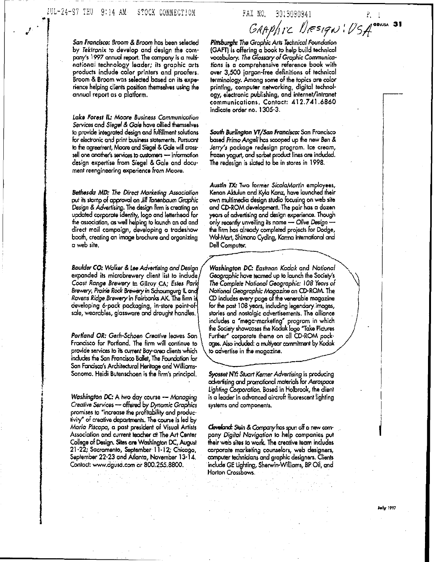San Francisco: Broom & Broom has been selected by Tektronix to develop and design the company's 1997 annual report. The company is a multinational technology leader; its graphic arts products include color printers and proofers. Broom & Broom was selected based on its experience helping clients position themselves using the annual report as a platform.

Lake Forest IL: Moore Business Communication Services and Siegel & Gale have allied themselves to provide integrated design and fulfillment solutions for electronic and print business statements. Pursuant to the agreement, Moore and Siegel & Gale will crosssell one another's services to customers --- information design expertise from Siegel & Gale and document reengineering experience from Moore.

Bethesda MD; The Direct Marketing Association put its stamp of approval on Jill Tanenbaum Graphic Design & Advertising. The design firm is creating an updated corporate identity, logo and letterhead for the association, as well helping to launch an ad and direct mail campaign, developing a tradeshow booth, creating an image brochure and organizing a web site.

Boulder CO: Walker & Lee Advertising and Design expanded its microbrewery client list to include Coast Range Brewery in Gilroy CA; Estes Park Brewery, Prairie Rock Brewery in Schaumqura II. and Ravens Ridge Brewery in Fairbanks AK. The firm is developing 6-pack packaging, in-store point-ofsale, wearables, glassware and draught handles.

Portland OR: Gerh-Schoen Creative leaves San Francisco for Portland. The firm will continue to provide services to its current Bay-area clients which includes the San Francisco Ballet, The Foundation for San Fancisco's Architectural Heritage and Williams-Sonoma. Heidi Butenschoen is the firm's principal.

Washington DC: A two day course - Managing Creative Services - offered by Dynamic Graphics promises to "increase the profitability and productivity" of creative departments. The course is led by Maria Piscopo, a past president of Visual Artists Association and current teacher at The Art Center College of Design. Sites are Washington DC, August 21-22; Sacramento, September 11-12; Chicago, September 22-23 and Atlanta, November 13-14. Contact: www.dgusa.com or 800,255.8800.

FAX NO. 3013090941 GAAPHIC DESIGN: USA ODIUSA 31

P. 1

Pittsburgh: The Graphic Arts Technical Foundation (GAFT) is offering a book to help build technical vecabulary. The Glossary of Graphic Communications is a comprehensive reference book with over 3,500 jargon-free definitions of technical terminology. Among some of the topics are color printing, computer networking, digital technology, electronic publishing, and internet/intranet communications. Contact: 412.741.6860 indicate order no. 1305-3.

South Burlington VT/San Francisco: San Francisco based Primo Angeli has scooped up the new Ben & Jerry's package redesign program. Ice cream, frozen yogurt, and sorbet product lines are included. The redesign is slated to be in stores in 1998.

Austin TX: Two former SicolaMartin employees, Kenan Aktulun and Kyla Kanz, have launched their own multimedia design studio focusing on web site and CD-ROM development. The pair has a dozen years of advertising and design experience. Though only recently unveiling its name - Olive Design the firm has already completed projects for Dodge, Wal-Mart, Shimano Cyding, Karma International and Dell Computer.

Washinaton DC: Eastrnan Kodak and National Geographic have teamed up to launch the Society's The Complete National Geographic: 108 Years of National Geographic Magazine on CD-ROM. The CD includes every page of the venerable magazine for the past 108 years, including legendary images, stories and nostalgic advertisements. The alliance includes a "mega-marketing" program in which the Society showcases the Kodak logo "Take Pictures Further" corporate theme on all CD-ROM packages. Also induded: a multiyear commitment by Kodak to advertise in the magazine.

Syosset NY: Stuart Kerner Advertising is producing advertising and promotional materials for Aerospace Lighting Corporation. Based in Holbrook, the dient is a leader in advanced aircroft fluorescent lighting systems and components.

Cleveland: Stein & Company has spun off a new company Digital Navigation to help companies put their web sites to work. The creative team includes corporate marketing counselors, web designers, computer technicians and graphic designers. Clients include GE Lighting, Sherwin-Williams, BP Oil, and Horton Crossbows.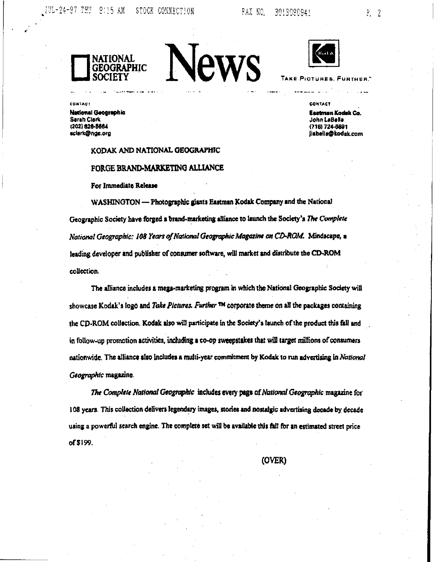JUL-24-97 THU  $9:15AM$ STOCK CONNECTION





UATHER

CONTACT

**National Geographic Sarah Clark** (202) 828-5664 sclark@ngs.org

**CONTACT** 

Eastman Kodak Co. John LaBella (716) 724-6891 jisbella@kodak.com  $\frac{5}{2}$ 

KODAK AND NATIONAL GEOGRAPHIC FORGE BRAND-MARKETING ALLIANCE For Immediate Release

WASHINGTON - Photographic giants Eastman Kodak Company and the National Geographic Society have forged a brand-marketing alliance to launch the Society's The Complete National Geographic: 108 Years of National Geographic Magazine on CD-ROM. Mindscape, a leading developer and publisher of consumer software, will market and distribute the CD-ROM collection.

**News** 

The alliance includes a mega-marketing program in which the National Geographic Society will showcase Kodak's logo and Take Pictures. Further TM corporate theme on all the packages containing the CD-ROM collection. Kodak also will participate in the Society's launch of the product this fall and in follow-up promotion activities, including a co-op sweepstakes that will target millions of consumers nationwide. The alliance also includes a multi-year commitment by Kodak to run advertising in National Geographic magazine.

The Complete National Geographic includes every page of National Geographic magazine for 108 years. This collection delivers legendary images, stories and nostalgic advertising decade by decade using a powerful search engine. The complete set will be available this fall for an estimated street price of \$199.

(OVER)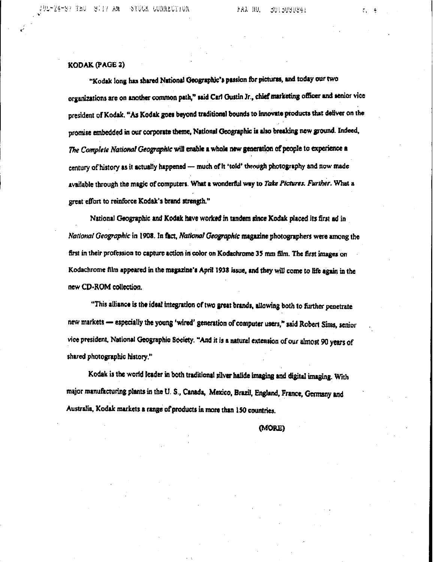UdT V9-92-**9:17 AM** STUCK COMMECTION

#### **KODAK (PAGE 2)**

"Kodak long has shared National Geographic's passion for pictures, and today our two organizations are on another common path," said Carl Gustin Jr., chief marketing officer and senior vice president of Kodak. "As Kodak goes beyond traditional bounds to innovate products that deliver on the promise embedded in our corporate theme, National Geographic is also breaking new ground. Indeed, The Complete National Geographic will enable a whole new generation of people to experience a century of history as it actually happened - much of it 'told' through photography and now made available through the magic of computers. What a wonderful way to Take Pictures. Further. What a great effort to reinforce Kodak's brand strength."

National Geographic and Kodak have worked in tandem since Kodak placed its first ad in National Geographic in 1908. In fact, National Geographic magazine photographers were among the first in their profession to capture action in color on Kodachrome 35 mm film. The first images on Kodachrome film appeared in the magazine's April 1938 issue, and they will come to life again in the new CD-ROM collection.

"This alliance is the ideal integration of two great brands, allowing both to further penetrate new markets - especially the young 'wired' generation of computer users," said Robert Sims, senior vice president, National Geographic Society. "And it is a natural extension of our almost 90 years of shared photographic history."

Kodak is the world leader in both traditional silver halide imaging and digital imaging. With major manufacturing plants in the U.S., Canada, Mexico, Brazil, England, France, Germany and Australia, Kodak markets a range of products in more than 150 countries.

(MORE)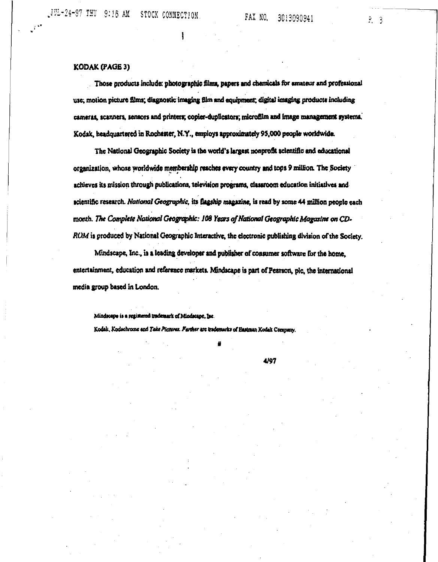JUL-24-97 THU 9:15 AM STOCK CONNECTION.

FAX NO. 3013090941

 $P = 3$ 

### KODAK (PAGE 3)

Those products include: photographic films, papers and chemicals for amateur and professional use; motion picture films; diagnostic imaging film and equipment; digital imaging products including cameras, scanners, sensors and printers; copier-duplicators; microfilm and image management systems. Kodak, headquartered in Rochester, N.Y., employs approximately 95,000 people worldwide.

The National Geographic Society is the world's largest nonprofit scientific and educational organization, whose worldwide memberahin reaches every country and tops 9 million. The Society achieves its mission through publications, television programs, classroom education initiatives and scientific research. National Geographic, its flagship magazine, is read by some 44 million people each month. The Complete National Geographic: 108 Years of National Geographic Magazine on CD-ROM is produced by National Geographic Interactive, the electronic publishing division of the Society.

Mindscape, Inc., is a leading developer and publisher of consumer software for the home. entertainment, education and reference markets. Mindscape is part of Pearson, pic, the international media group based in London.

Mindscape is a registered trademark of Mindscape. Inc.

Kodak, Kodschrome and Take Pictures. Further are trademarks of Eastman Kodak Company.

4/97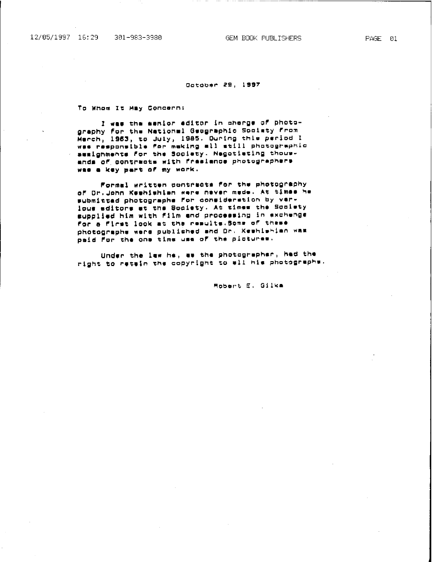#### 12/05/1997 16:29 301-983-3980

#### October 29, 1997

To Whom It May Concern:

I was the senior editor in cherge of photography for the National Geographic Society From Merch, 1963, to July, 1985. Quring this period I<br>wes responsible for making all still photographic<br>assignments for the Society. Negotiating thousands of contracts with freelence photographers was a key part of my work.

Formal written contracts for the photography of Dr.John Keshishian ware never mede. At times he submitted photographs for consideration by varlous aditors at the Society. At times the Society supplied him with film and processing in exchange for a first look at the results. Some of these photographs were published and Dr. Keshishian was paid For the one time use of the pictures.

Under the law ha, as the photographer, had the right to retain the copyright to all his photographs.

Mobert E. Gilka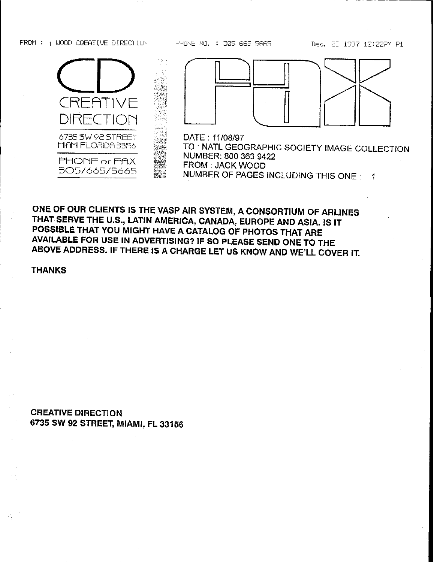FROM : j WOOD CQEATIVE DIRECTION.

PHONE NO. : 305 665 5665 **Dec.** 08 1997 12:22PM P1





DATE: 11/08/97

TO: NATL GEOGRAPHIC SOCIETY IMAGE COLLECTION NUMBER: 800 363 9422 FROM: JACK WOOD

NUMBER OF PAGES INCLUDING THIS ONE: 1

ONE OF OUR CLIENTS IS THE VASP AIR SYSTEM, A CONSORTIUM OF ARLINES THAT SERVE THE U.S., LATIN AMERICA, CANADA, EUROPE AND ASIA. IS IT POSSIBLE THAT YOU MIGHT HAVE A CATALOG OF PHOTOS THAT ARE AVAILABLE FOR USE IN ADVERTISING? IF SO PLEASE SEND ONE TO THE ABOVE ADDRESS. IF THERE IS A CHARGE LET US KNOW AND WE'LL COVER IT.

THANKS

CREATIVE DIRECTION 6735 SW 92 STREET, MIAMI, FL 33156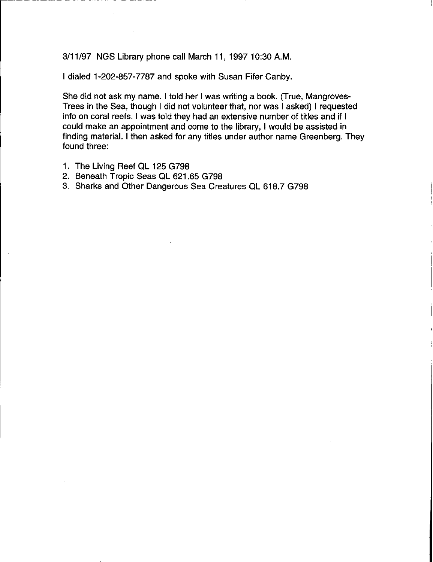3/11/97 NGS Library phone call March 11, 1997 10:30 A.M.

I dialed 1-202-857-7787 and spoke with Susan Fifer Canby.

She did not ask my name. I told her I was writing a book. (True, Mangroves-Trees in the Sea, though I did not volunteer that, nor was I asked) I requested info on coral reefs. I was told they had an extensive number of titles and if I could make an appointment and come to the library, I would be assisted in finding material. I then asked for any titles under author name Greenberg. They found three:

- 1. The Living Reef QL 125 G798
- 2. Beneath Tropic Seas QL 621.65 G798
- 3. Sharks and Other Dangerous Sea Creatures QL 618.7 G798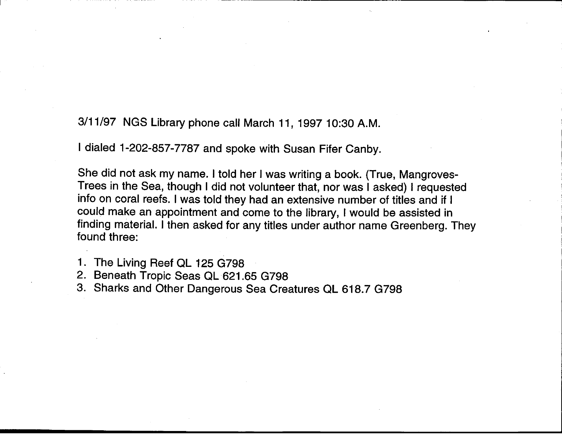3/11/97 NGS Library phone call March 11, 1997 10:30 A.M.

I dialed 1-202-857-7787 and spoke with Susan Fifer Canby.

She did not ask my name. I told her I was writing a book. (True, Mangroves-Trees in the Sea, though I did not volunteer that, nor was I asked) I requested info on coral reefs. I was told they had an extensive number of titles and if I could make an appointment and come to the library, I would be assisted in finding material. I then asked for any titles under author name Greenberg. They found three:

- 1. The Living Reef QL 125 G798
- 2. Beneath Tropic Seas QL 621.65 G798
- 3. Sharks and Other Dangerous Sea Creatures QL 618.7 G798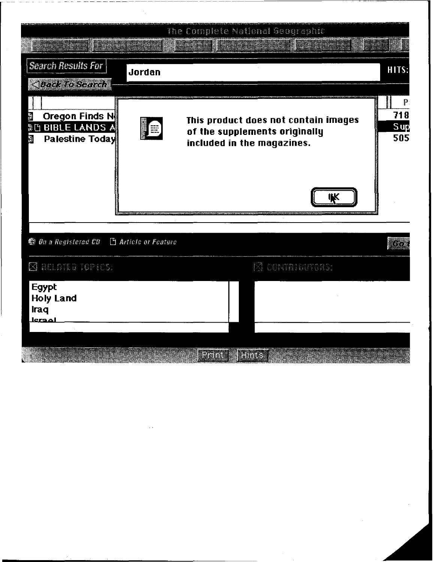|                                                                                  |        | The Complete National Geographic                                                                    |                               |
|----------------------------------------------------------------------------------|--------|-----------------------------------------------------------------------------------------------------|-------------------------------|
| <b>Search Results For</b><br><b><back b="" search<="" to=""></back></b>          | Jordan |                                                                                                     | HITS:                         |
| Oregon Finds N∯<br>ů<br><b>SH BIBLE LANDS A</b><br>is.<br><b>Palestine Today</b> | '==    | This product does not contain images<br>of the supplements originally<br>included in the magazines. | Ţ<br>718<br><b>Sup</b><br>505 |
|                                                                                  |        | IК                                                                                                  |                               |
| ● On a Registered CD □ Article or Feature                                        |        |                                                                                                     | Co.                           |
| <b>NEALLETTE TOP ICS.</b>                                                        |        | $\boxtimes$ contributors:                                                                           |                               |
| <b>Egypt</b><br><b>Holy Land</b><br>Iraq<br><u>leraal</u>                        |        |                                                                                                     |                               |
|                                                                                  |        | <b>Rang</b><br><b>HTIRE:</b>                                                                        |                               |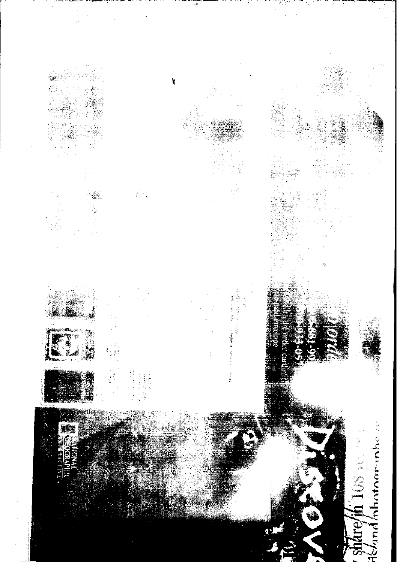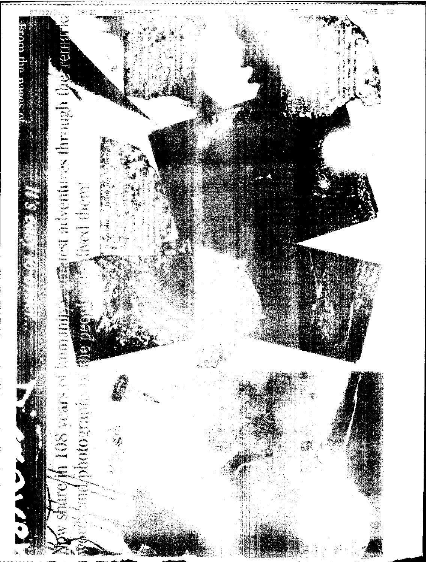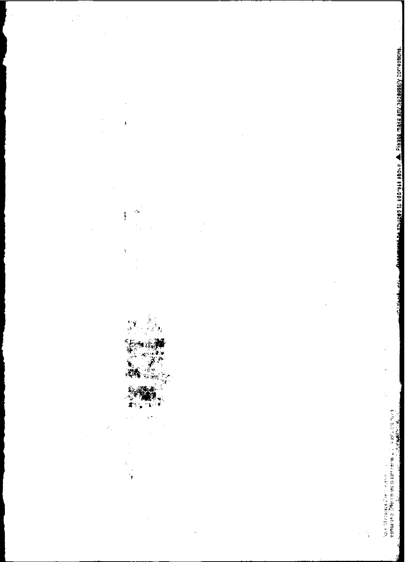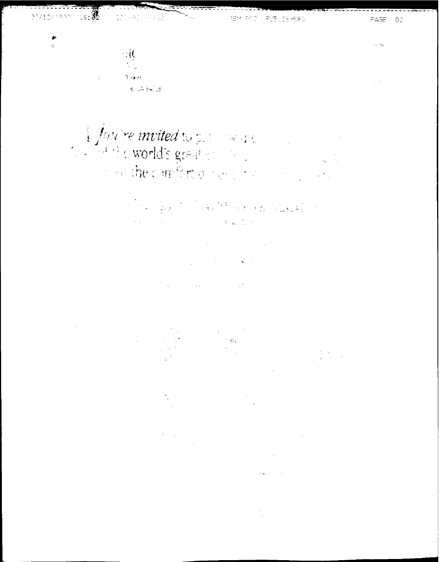

Coure moited to possible the court of the world's greater than Completion for a continuing the

> and the state of the state of the state  $\mathcal{R}(\mathbb{R}^d) = \mathbb{E}\left[\mathcal{R}^{d-1}(\mathbb{R}^d)\right] = \mathbb{E}\left[\mathcal{R}^{d-1}(\mathbb{R}^d)\right] = \mathcal{R}^d \log 2 \cdot \frac{d^2}{d\mathbb{R}^d} \leq \mathbb{E}\left[\mathcal{R}^{d-1}(\mathbb{R}^d)\right]$

 $\label{eq:2.1} \mathcal{O}(\frac{1}{2}\log\left(1-\frac{1}{2}\right))\leq \mathcal{O}(\frac{1}{2}\log\left(1-\frac{1}{2}\right))\leq \mathcal{O}(\frac{1}{2}\log\left(1-\frac{1}{2}\right))\leq \mathcal{O}(\frac{1}{2}\log\left(1-\frac{1}{2}\right)).$  $\label{eq:2.1} \mathcal{L}^{\mathcal{A}}(t) = \mathcal{L}^{\mathcal{A}}(t) \mathcal{L}^{\mathcal{A}}(t) = \mathcal{L}^{\mathcal{A}}(t) \mathcal{L}^{\mathcal{A}}(t) = \mathcal{L}^{\mathcal{A}}(t) \mathcal{L}^{\mathcal{A}}(t)$ 

 $\tau_{\rm c}$ 

> $\label{eq:2.1} \begin{split} \mathcal{F}^{(1)}_{\text{max}} &= \frac{\pi \mathcal{G}}{2E_{\text{max}}},\\ \mathcal{F}^{(1)}_{\text{max}} &= \frac{\pi \mathcal{G}}{2E_{\text{max}}},\\ \mathcal{F}^{(2)}_{\text{max}} &= \frac{\pi \mathcal{G}}{2E_{\text{max}}},\\ \mathcal{F}^{(1)}_{\text{max}} &= \frac{\pi \mathcal{G}}{2E_{\text{max}}},\\ \mathcal{F}^{(2)}_{\text{max}} &= \frac{\pi \mathcal{G}}{2E_{\text{max}}},\\ \mathcal{F}^{(1)}_{\text{max}}$

 $\label{eq:2} \frac{1}{2} \frac{4 \pi}{3} \frac{1}{2} \frac{1}{2} \frac{1}{2} \frac{1}{2} \frac{1}{2} \frac{1}{2} \frac{1}{2} \frac{1}{2} \frac{1}{2} \frac{1}{2} \frac{1}{2} \frac{1}{2} \frac{1}{2} \frac{1}{2} \frac{1}{2} \frac{1}{2} \frac{1}{2} \frac{1}{2} \frac{1}{2} \frac{1}{2} \frac{1}{2} \frac{1}{2} \frac{1}{2} \frac{1}{2} \frac{1}{2} \frac{1}{2} \frac{1}{2} \frac{1}{2} \$  $\label{eq:2.1} \frac{1}{\sqrt{2\pi}}\int_{\mathbb{R}^3}\frac{1}{\sqrt{2\pi}}\int_{\mathbb{R}^3}\frac{1}{\sqrt{2\pi}}\int_{\mathbb{R}^3}\frac{1}{\sqrt{2\pi}}\int_{\mathbb{R}^3}\frac{1}{\sqrt{2\pi}}\int_{\mathbb{R}^3}\frac{1}{\sqrt{2\pi}}\int_{\mathbb{R}^3}\frac{1}{\sqrt{2\pi}}\int_{\mathbb{R}^3}\frac{1}{\sqrt{2\pi}}\int_{\mathbb{R}^3}\frac{1}{\sqrt{2\pi}}\int_{\mathbb{R}^3}\frac{1$ 

 $\label{eq:2.1} \begin{split} \mathcal{L}_{\text{max}}(\mathcal{L}_{\text{max}}) &= \mathcal{L}_{\text{max}}(\mathcal{L}_{\text{max}}) \,,\\ \mathcal{L}_{\text{max}}(\mathcal{L}_{\text{max}}) &= \mathcal{L}_{\text{max}}(\mathcal{L}_{\text{max}}) \,, \end{split}$ 

and a strong state of the state of the state of the state of the state of the state of the state of the state of the state of the state of the state of the state of the state of the state of the state of the state of the s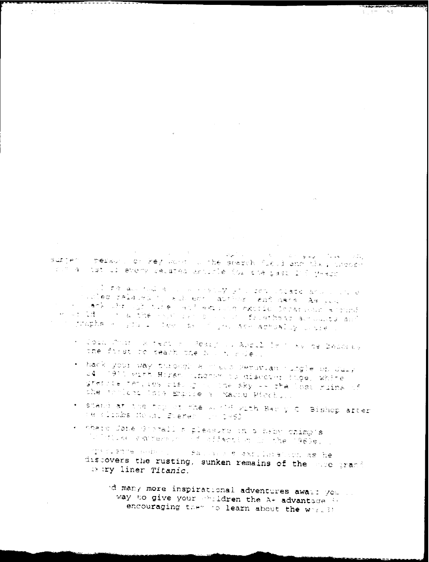id many more inspirational adventures await you ... way to give your shildren the A+ advantage in encouraging they to learn about the weil?!

 $\mathbb{R}^n$  is a set the section of  $\mathbb{R}^n$  . The section of state  $\mathbb{R}^n$  such that  $\mathbb{R}^n$  is the discovers the rusting, sunken remains of the side grand as try liner Titanic.

- chate Jame Giorall a pleasure in a beby chimp's Windust formers of allection in the 1960s. U
- . State at the top of the suret with Barry Q. Bishop arter te climbs found Everen (20 1953
- · hack your way through a misk o Peruvian rungle on dury u4 (1911 with Horan cingome to discover huge, white grennos tam, kom ziskup nu lida sky ek che loso ruins uf the society into Emplie & Machu Picchill
- n Cola Charl Ricert e Pesifica Aspil (7 ha de lacorta the first of reach the big transfer.

in the state and the second property of a contract of the state of the second of the mules related to subject abtime and data. As you n in en lakk like light turne man een vinne excrise bookbanking anough<br>The string of the the says response in the fractional also like and า เรียนเป็นสมบัติการการเป็น และ เป็นชาวเป็นสมบัติการ เป็นสมบัติการ ครั้งขึ้น เป็นสมบัติการ เป็นสมบัติการ เป็นส<br>เป็นสมบัติการ เป็นสมบัติการ เป็นสมบัติการ เป็นสมบัติการ เป็นสมบัติการ เป็นสมบัติการ เป็นสมบัติการ เป็นสมบัติกา

المحمد المحمد المحمد المحمد المحمد المحمد المحمد المحمد المحمد المحمد المحمد المحمد المحمد المحمد ال<br>والمحمد المحمد المحمد المحمد المحمد المحمد المحمد المحمد المحمد المحمد المحمد المحمد المحمد المحمد المحمد المح **College**  $\mathcal{L}_{\mathcal{A}}$  and  $\mathcal{L}_{\mathcal{A}}$  . We have surper person or her source with search field and the process ir († 1941), tat luž jeveny izelatno arhibite (tol ibne bast 213) ymeryt

 $\label{eq:2.1} \frac{1}{\sqrt{2\pi}}\int_{\mathbb{R}^3}\frac{1}{\sqrt{2\pi}}\left(\frac{1}{\sqrt{2\pi}}\right)^2\frac{1}{\sqrt{2\pi}}\left(\frac{1}{\sqrt{2\pi}}\right)^2\frac{1}{\sqrt{2\pi}}\left(\frac{1}{\sqrt{2\pi}}\right)^2\frac{1}{\sqrt{2\pi}}\frac{1}{\sqrt{2\pi}}\frac{1}{\sqrt{2\pi}}\frac{1}{\sqrt{2\pi}}\frac{1}{\sqrt{2\pi}}\frac{1}{\sqrt{2\pi}}\frac{1}{\sqrt{2\pi}}\frac{1}{\sqrt{2\pi}}\frac$  $\mathcal{L}_{\text{max}}$  ,  $\mathcal{L}_{\text{max}}$ 

 $\mathcal{A}(\mathcal{A})$  and  $\mathcal{A}(\mathcal{A})$  is the following the  $\mathcal{A}(\mathcal{A})$ 

 $\sim 10^6$ 

 $\frac{1}{2}$  ,  $\frac{1}{2}$  $\mathcal{A}_i$   $\mathcal{A}_j$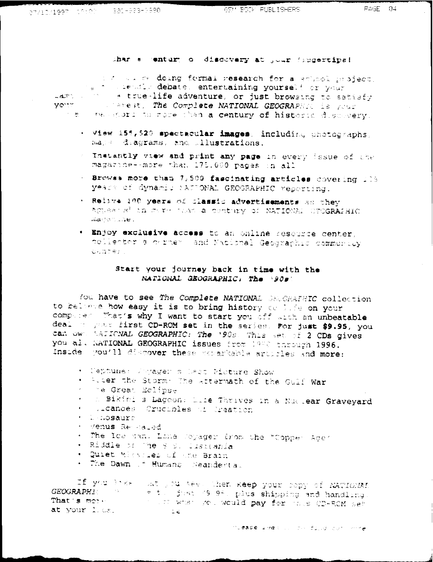### shar s entur o discovery at your fungertips!

information doing formal research for a school project. a # wiendly debate, entertaining yourself or your Lart of the Alife adventure, or just browsing to satisfy west, The Complete NATIONAL GEOGRAPHIC is your your. is the sport to nore than a century of historic discovery.

- . View 155,520 spectacular images, including photographs, mage diagrams, and illustrations.
- a Instantly wiew and print any page in every issue of the magarine--more that, 175,000 pages in all
- . Browss more than 7,500 fascinating articles covering 108 years of dynamic SATEONAL GEOGRAPHIC reporting.
- . Relive 100 years of classic advertisements as they agues a in more mean a contury of NATIONAL OFOGRAPHIC magan Live L
- . Enjoy exclusive access to an online resource center, collector's carner and National Geographic community CONTRIL

### Start your journey back in time with the NATIONAL GEOGRAPHIC: The \$90s:

You have to see The Complete NATIONAL SECORAFHIC collection to believe how easy it is to bring history to life on your componed. That's why I want to start you off with an unbeatable deal of goas first CD-ROM set in the series. For just \$9.95, you can ow AATICNAL GEOGRAPHIC: The 190s. This set of 2 CDs gives you al. NATIONAL GEOGRAPHIC issues from 1980 through 1996. Inside you'll discover these reparkable articles and more:

- . Neptune: Anyager a brez Picture Show
- . Wiser the Storm: The Aftermath of the Gulf War
- the Great Eclipse
- in Bikini s Lagoon: Lize Thrives in a Nuclear Graveyard
- pucanoes Crucibles of Creation
- 
- Venus Revhaued
- . The Ice han, Lane Joyager from the "Copper Age"
- · Riddle of The S S. List(ania
- . Quiet Micsoues of the Brain.
- · The Dawn if Humang Neandertal

If you has lated the seep your copy of NATIONAL GEOGRAPHIC in the state of the seep your copy of NATIONAL GEOGRAPHIC in the state of the state of the second pay for the second series of the second pay for the second series at your 1.de.  $\sim 20$ 

muease alea coulonny facid currimme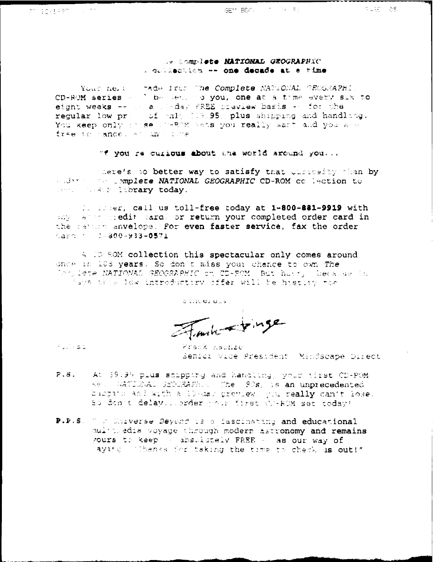#### Av Complete NATIONAL GEOGRAPHIC l collection -- one decade at a time

Tade from The Complete NATIONAL GEOGRAPHI Your next CD-ROM series of ' be send to you, one at a time every six to eight weeks -- I a li-day FREE preview basis - for the regular low print of all 119.95, plus shipping and handlang.<br>You keep only crose UP-RPM wats you really want and you are free to cancel at include

"f you re curious about the world around you...

mere's no better way to satisfy that curresity whan by wedness are complete NATIONAL GEOGRAPHIC CD-ROM collection to week worker library today.

The inter, call us toll-free today at 1-800-881-9919 with any categoriedit card, or return your completed order card in the return anvelope. For even faster service, fax the order cars to 1-800-933-0571

A JO ROM collection this spectacular only comes around once in 103 years. So don't miss your chance to own The Terplate NATIONAD GEOGRAPHIC on CD-ROM But hurry. Decades in lays this low introductiry offer will be history for

alueratv. Fash + ringe

 $\sigma$  ,  $\sigma$  ,  $\sigma$  ,  $\sigma$ 

Frank hainze Senior Vice President Mindscape Direct

- $P.5.$ At 39.95 plus shipping and handling, your tirst CD-POM se. WATIFAL GETERAPHONE The 90s, is an unprecedented burgath and with a lökuar preview, you really can't lose. So don't delay...order your first CD-ROM set today!
- P.P.S. " a Chiverse Beyond is a fascinating and educational multimedia voyage through modern astronomy and remains yours to keep - absulutely FREE - as our way of aying lihanks for taking the time to check us out!"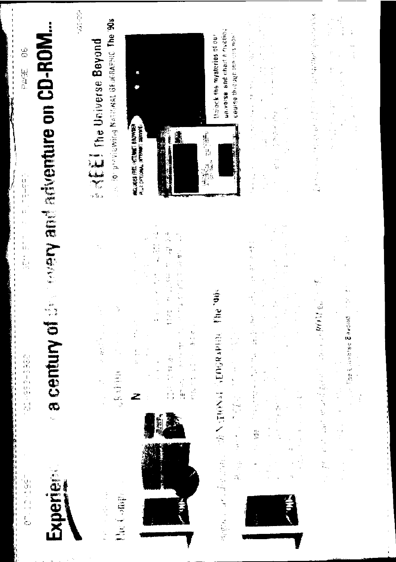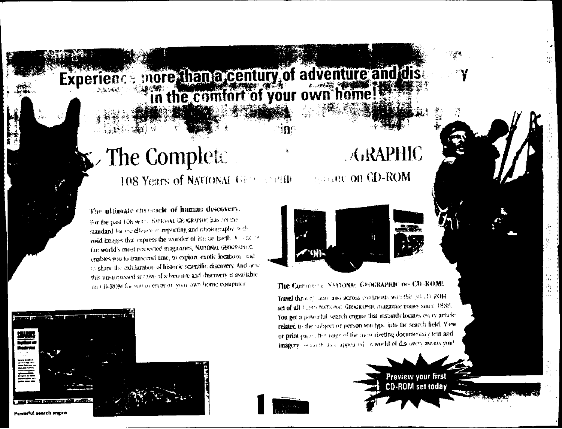# The Complete 108 Years of NATIONAL GEORGIAL

Experience more than a century of adventure and dis

m

The ultimate channole of human discovers. For the past 108 were: NATEPOAL GEOGRAPHIC has set the standard for excellence in reporting and photography with vivid images that express the wonder of life on Earth. A  $\rightarrow$  a.c. is the world's most respected magazines, NATIONAL GEOGRAPHIC enables was to transcend time, to explore exotic keeptons and to share the exhibitation of historic scientific discovery. And area this unsurrassed archive of adventure and discovery is available on (D-ROM for wat to empty on your own horne computer

## **ARAPHIC** spassne on CD-ROM



## The Convolute NATIONAL GEOGRAPHIC OF CH-ROM!

Travel through unit and across continents with this 30 cD ROM set of all ELAS ERTIONAL GEOGRAPHIC magazine issues since 1888. You get a powerful search engine that instantly locates every article related to the subject or person you type into the search field. View or print pairs attor eage of the most riveting documentary text and imagery- - vanish as ellapseared. A world of discovery awaits you!